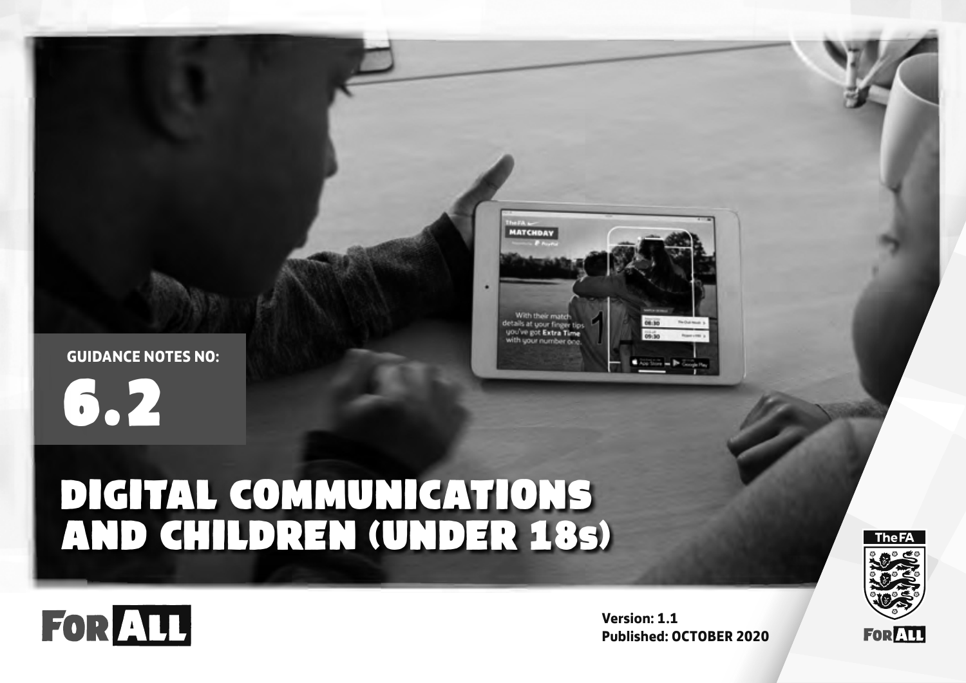

6.2

FOR ALL



# DIGITAL COMMUNICATIONS AND CHILDREN (UNDER 18s)



**The FA** 



**Version: 1.1 Published: OCTOBER 2020**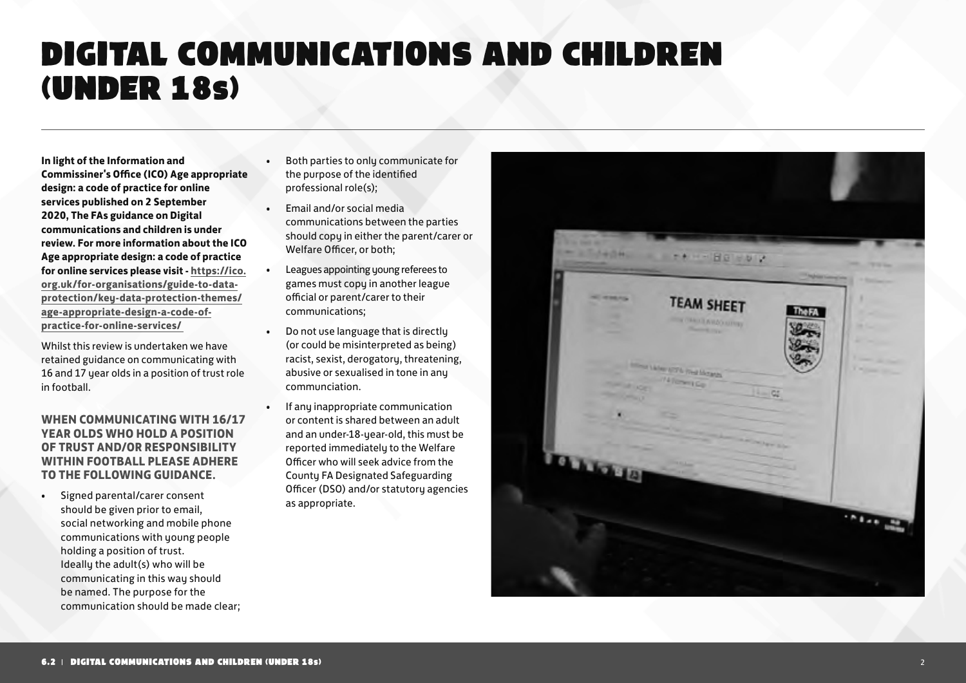### DIGITAL COMMUNICATIONS AND CHILDREN (UNDER 18s)

**In light of the Information and Commissiner's Office (ICO) Age appropriate design: a code of practice for online services published on 2 September 2020, The FAs guidance on Digital communications and children is under review. For more information about the ICO Age appropriate design: a code of practice for online services please visit - https://ico. org.uk/for-organisations/guide-to-dataprotection/key-data-protection-themes/ age-appropriate-design-a-code-ofpractice-for-online-services/** 

Whilst this review is undertaken we have retained guidance on communicating with 16 and 17 year olds in a position of trust role in football.

#### **WHEN COMMUNICATING WITH 16/17 YEAR OLDS WHO HOLD A POSITION OF TRUST AND/OR RESPONSIBILITY WITHIN FOOTBALL PLEASE ADHERE TO THE FOLLOWING GUIDANCE.**

Signed parental/carer consent should be given prior to email, social networking and mobile phone communications with young people holding a position of trust. Ideally the adult(s) who will be communicating in this way should be named. The purpose for the communication should be made clear;

- Both parties to only communicate for the purpose of the identified professional role(s);
- Email and/or social media communications between the parties should copy in either the parent/carer or Welfare Officer, or both;
- Leagues appointing young referees to games must copy in another league official or parent/carer to their communications;
- Do not use language that is directly (or could be misinterpreted as being) racist, sexist, derogatory, threatening, abusive or sexualised in tone in any communciation.
- If any inappropriate communication or content is shared between an adult and an under-18-year-old, this must be reported immediately to the Welfare Officer who will seek advice from the County FA Designated Safeguarding Officer (DSO) and/or statutory agencies as appropriate.

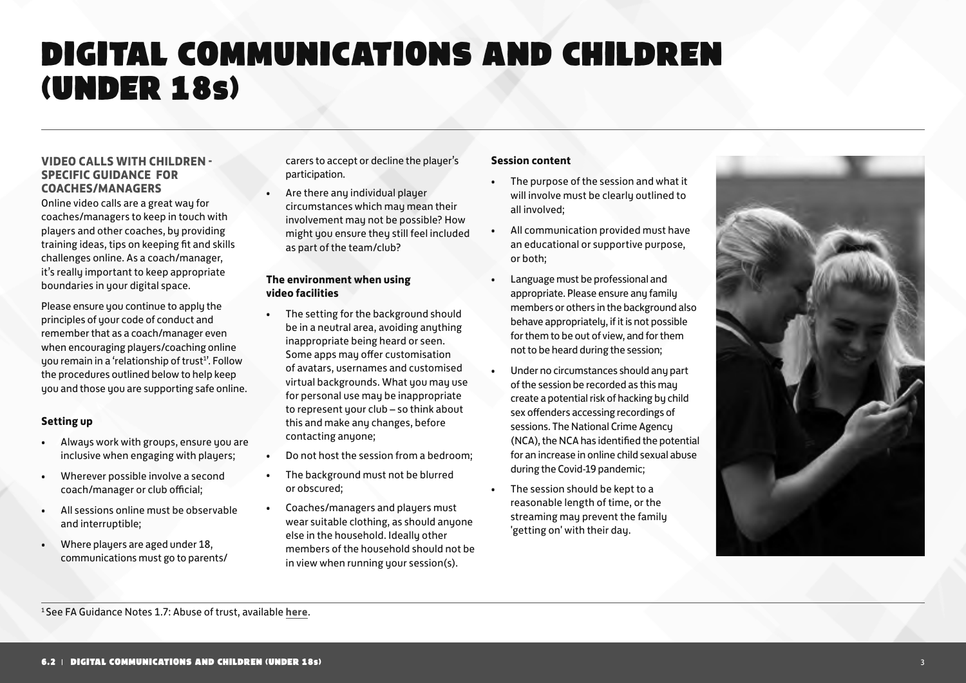### DIGITAL COMMUNICATIONS AND CHILDREN (UNDER 18s)

#### **VIDEO CALLS WITH CHILDREN - SPECIFIC GUIDANCE FOR COACHES/MANAGERS**

Online video calls are a great way for coaches/managers to keep in touch with players and other coaches, by providing training ideas, tips on keeping fit and skills challenges online. As a coach/manager, it's really important to keep appropriate boundaries in your digital space.

Please ensure you continue to apply the principles of your code of conduct and remember that as a coach/manager even when encouraging players/coaching online you remain in a 'relationship of trust<sup>1</sup>'. Follow the procedures outlined below to help keep you and those you are supporting safe online.

#### **Setting up**

- Always work with groups, ensure you are inclusive when engaging with players:
- Wherever possible involve a second coach/manager or club official;
- All sessions online must be observable and interruptible;
- Where players are aged under 18, communications must go to parents/

carers to accept or decline the player's participation.

• Are there any individual player circumstances which may mean their involvement may not be possible? How might you ensure they still feel included as part of the team/club?

#### **The environment when using video facilities**

- The setting for the background should be in a neutral area, avoiding anything inappropriate being heard or seen. Some apps may offer customisation of avatars, usernames and customised virtual backgrounds. What you may use for personal use may be inappropriate to represent your club – so think about this and make any changes, before contacting anyone;
- Do not host the session from a bedroom;
- The background must not be blurred or obscured;
- Coaches/managers and players must wear suitable clothing, as should anyone else in the household. Ideally other members of the household should not be in view when running your session(s).

#### **Session content**

- The purpose of the session and what it will involve must be clearly outlined to all involved;
- All communication provided must have an educational or supportive purpose, or both;
- Language must be professional and appropriate. Please ensure any family members or others in the background also behave appropriately, if it is not possible for them to be out of view, and for them not to be heard during the session;
- Under no circumstances should any part of the session be recorded as this may create a potential risk of hacking by child sex offenders accessing recordings of sessions. The National Crime Agency (NCA), the NCA has identified the potential for an increase in online child sexual abuse during the Covid-19 pandemic;
- The session should be kept to a reasonable length of time, or the streaming may prevent the family 'getting on' with their day.

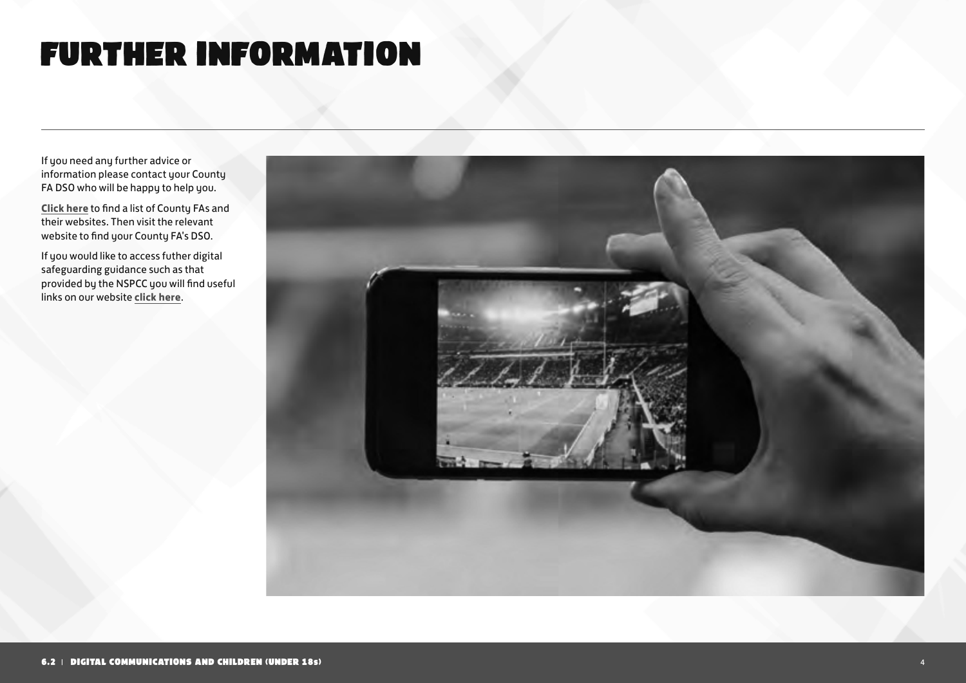## FURTHER INFORMATION

If you need any further advice or information please contact your County FA DSO who will be happy to help you.

**Click here** to find a list of County FAs and their websites. Then visit the relevant website to find your County FA's DSO.

If you would like to access futher digital safeguarding guidance such as that provided by the NSPCC you will find useful links on our website **click here**.